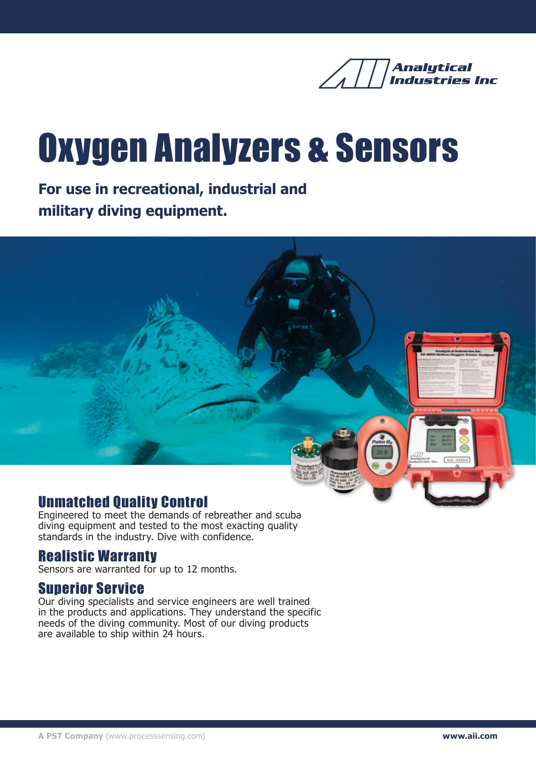

# Oxygen Analyzers & Sensors

**For use in recreational, industrial and military diving equipment.**



#### Unmatched Quality Control

Engineered to meet the demands of rebreather and scuba diving equipment and tested to the most exacting quality standards in the industry. Dive with confidence.

#### Realistic Warranty

Sensors are warranted for up to 12 months.

#### Superior Service

Our diving specialists and service engineers are well trained in the products and applications. They understand the specific needs of the diving community. Most of our diving products are available to ship within 24 hours.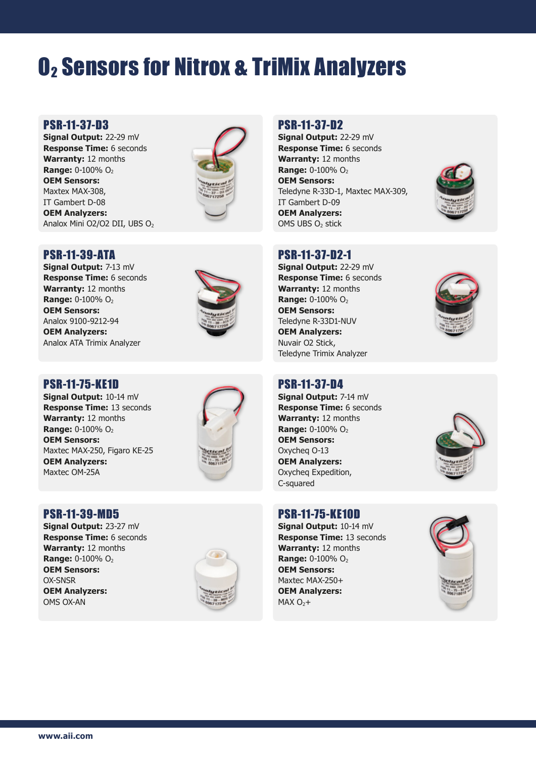## O2 Sensors for Nitrox & TriMix Analyzers

#### PSR-11-37-D3

**Signal Output:** 22-29 mV **Response Time:** 6 seconds **Warranty:** 12 months **Range:** 0-100% O<sub>2</sub> **OEM Sensors:** Maxtex MAX-308, IT Gambert D-08 **OEM Analyzers:** Analox Mini O2/O2 DII, UBS O<sub>2</sub>



#### PSR-11-39-ATA

**Signal Output:** 7-13 mV **Response Time:** 6 seconds **Warranty:** 12 months **Range:** 0-100% O<sub>2</sub> **OEM Sensors:** Analox 9100-9212-94 **OEM Analyzers:** Analox ATA Trimix Analyzer



#### PSR-11-75-KE1D

**Signal Output:** 10-14 mV **Response Time:** 13 seconds **Warranty:** 12 months **Range:** 0-100% O<sub>2</sub> **OEM Sensors:** Maxtec MAX-250, Figaro KE-25 **OEM Analyzers:** Maxtec OM-25A



#### PSR-11-39-MD5

**Signal Output:** 23-27 mV **Response Time:** 6 seconds **Warranty:** 12 months **Range:** 0-100% O<sub>2</sub> **OEM Sensors:** OX-SNSR **OEM Analyzers:** OMS OX-AN



#### PSR-11-37-D2

**Signal Output:** 22-29 mV **Response Time:** 6 seconds **Warranty:** 12 months **Range:** 0-100% O<sub>2</sub> **OEM Sensors:** Teledyne R-33D-1, Maxtec MAX-309, IT Gambert D-09 **OEM Analyzers:** OMS UBS O<sub>2</sub> stick



#### PSR-11-37-D2-1

**Signal Output:** 22-29 mV **Response Time:** 6 seconds **Warranty:** 12 months **Range:** 0-100% O<sub>2</sub> **OEM Sensors:** Teledyne R-33D1-NUV **OEM Analyzers:** Nuvair O2 Stick, Teledyne Trimix Analyzer



#### PSR-11-37-D4

**Signal Output:** 7-14 mV **Response Time:** 6 seconds **Warranty:** 12 months **Range:** 0-100% O<sub>2</sub> **OEM Sensors:** Oxycheq O-13 **OEM Analyzers:** Oxycheq Expedition, C-squared

#### PSR-11-75-KE10D

**Signal Output:** 10-14 mV **Response Time:** 13 seconds **Warranty:** 12 months **Range:** 0-100% O<sub>2</sub> **OEM Sensors:** Maxtec MAX-250+ **OEM Analyzers:**  $MAX O<sub>2</sub> +$ 



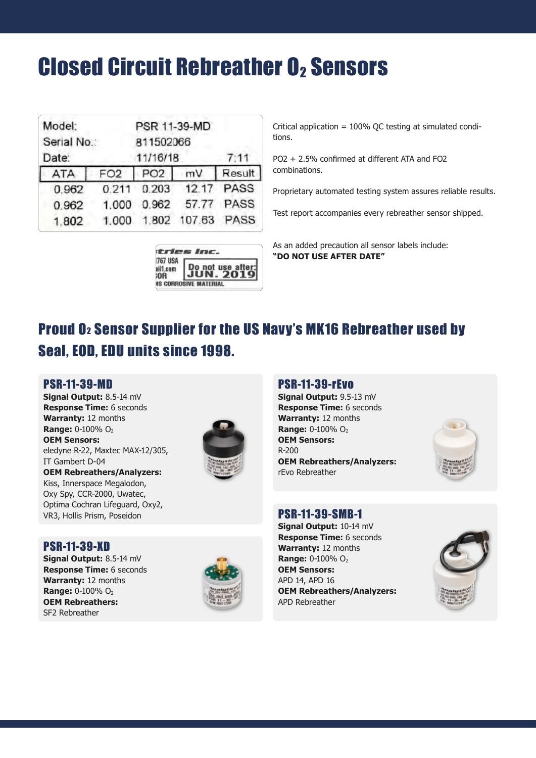### **Closed Circuit Rebreather O2 Sensors**

| Model:               |                 |                       | PSR 11-39-MD     |            |
|----------------------|-----------------|-----------------------|------------------|------------|
| Serial No.:<br>Date: |                 | 811502066<br>11/16/18 |                  |            |
|                      |                 |                       |                  | 7:11       |
| <b>ATA</b>           | FO <sub>2</sub> | PO2 mV                |                  | Result     |
| 0.962                | 0.211           |                       | 0.203 12.17 PASS |            |
| 0.962                | 1.000           | 0.962                 |                  | 57.77 PASS |
| 1.802                | 1,000           | 1.802                 | 107.63 PASS      |            |
|                      |                 |                       |                  |            |

| o not use aft |
|---------------|
|               |

Critical application = 100% QC testing at simulated conditions.

PO2 + 2.5% confirmed at different ATA and FO2 combinations.

Proprietary automated testing system assures reliable results.

Test report accompanies every rebreather sensor shipped.

As an added precaution all sensor labels include: **"DO NOT USE AFTER DATE"**

### Proud O2 Sensor Supplier for the US Navy's MK16 Rebreather used by Seal, EOD, EDU units since 1998.

#### PSR-11-39-MD

**Signal Output:** 8.5-14 mV **Response Time:** 6 seconds **Warranty:** 12 months **Range:** 0-100% O<sub>2</sub> **OEM Sensors:** eledyne R-22, Maxtec MAX-12/305, IT Gambert D-04 **OEM Rebreathers/Analyzers:** Kiss, Innerspace Megalodon, Oxy Spy, CCR-2000, Uwatec, Optima Cochran Lifeguard, Oxy2, VR3, Hollis Prism, Poseidon



#### PSR-11-39-rEvo

**Signal Output:** 9.5-13 mV **Response Time:** 6 seconds **Warranty:** 12 months **Range:** 0-100% O<sub>2</sub> **OEM Sensors:** R-200 **OEM Rebreathers/Analyzers:** rEvo Rebreather



#### PSR-11-39-SMB-1

**Signal Output:** 10-14 mV **Response Time:** 6 seconds **Warranty:** 12 months **Range:** 0-100% O<sub>2</sub> **OEM Sensors:** APD 14, APD 16 **OEM Rebreathers/Analyzers:** APD Rebreather



#### PSR-11-39-XD

**Signal Output:** 8.5-14 mV **Response Time:** 6 seconds **Warranty:** 12 months **Range:** 0-100% O<sub>2</sub> **OEM Rebreathers:** SF2 Rebreather

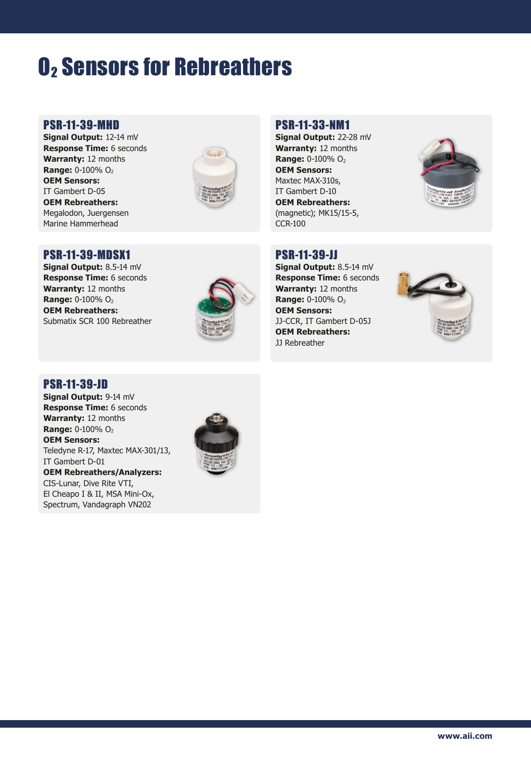### **O<sub>2</sub> Sensors for Rebreathers**

#### PSR-11-39-MHD

**Signal Output:** 12-14 mV **Response Time:** 6 seconds **Warranty:** 12 months **Range:** 0-100% O<sub>2</sub> **OEM Sensors:** IT Gambert D-05 **OEM Rebreathers:** Megalodon, Juergensen Marine Hammerhead



#### PSR-11-39-MDSX1

**Signal Output:** 8.5-14 mV **Response Time:** 6 seconds **Warranty:** 12 months **Range:** 0-100% O<sub>2</sub> **OEM Rebreathers:** Submatix SCR 100 Rebreather



#### PSR-11-33-NM1

**Signal Output:** 22-28 mV **Warranty:** 12 months **Range:** 0-100% O<sub>2</sub> **OEM Sensors:** Maxtec MAX-310s, IT Gambert D-10 **OEM Rebreathers:** (magnetic); MK15/15-5, CCR-100



#### PSR-11-39-JJ

**Signal Output:** 8.5-14 mV **Response Time:** 6 seconds **Warranty:** 12 months **Range:** 0-100% O<sub>2</sub> **OEM Sensors:** JJ-CCR, IT Gambert D-05J **OEM Rebreathers:** JJ Rebreather



#### PSR-11-39-JD

**Signal Output:** 9-14 mV **Response Time:** 6 seconds **Warranty:** 12 months **Range:** 0-100% O<sub>2</sub> **OEM Sensors:** Teledyne R-17, Maxtec MAX-301/13, IT Gambert D-01 **OEM Rebreathers/Analyzers:** CIS-Lunar, Dive Rite VTI, El Cheapo I & II, MSA Mini-Ox, Spectrum, Vandagraph VN202

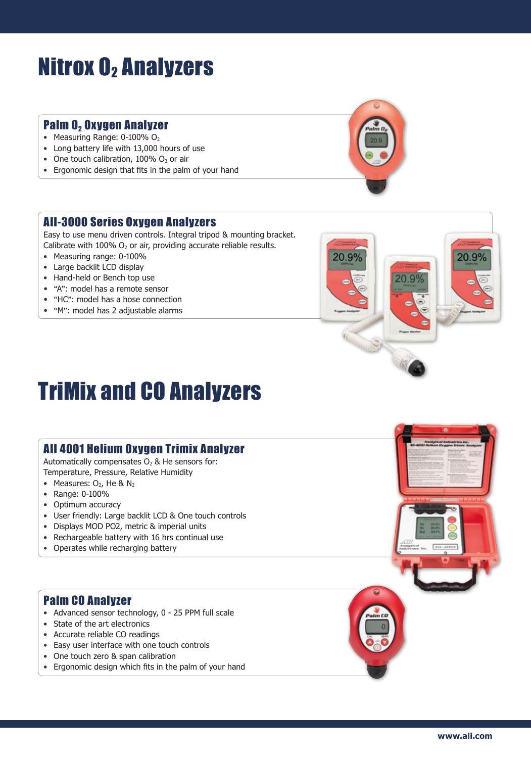### **Nitrox O2 Analyzers**

#### Palm 0, Oxygen Analyzer

- Measuring Range:  $0-100\%$  O<sub>2</sub>
- Long battery life with 13,000 hours of use
- One touch calibration,  $100\%$  O<sub>2</sub> or air
- Ergonomic design that fits in the palm of your hand

#### AII-3000 Series Oxygen Analyzers

Easy to use menu driven controls. Integral tripod & mounting bracket. Calibrate with 100%  $O<sub>2</sub>$  or air, providing accurate reliable results.

- Measuring range: 0-100%
- Large backlit LCD display
- Hand-held or Bench top use
- "A": model has a remote sensor
- "HC": model has a hose connection
- "M": model has 2 adjustable alarms



### TriMix and CO Analyzers

#### AII 4001 Helium Oxygen Trimix Analyzer

Automatically compensates  $O<sub>2</sub>$  & He sensors for: Temperature, Pressure, Relative Humidity

- Measures:  $O_2$ , He &  $N_2$
- Range: 0-100%
- Optimum accuracy
- User friendly: Large backlit LCD & One touch controls
- Displays MOD PO2, metric & imperial units
- Rechargeable battery with 16 hrs continual use
- Operates while recharging battery

#### Palm CO Analyzer

- Advanced sensor technology, 0 25 PPM full scale
- State of the art electronics
- Accurate reliable CO readings
- Easy user interface with one touch controls
- One touch zero & span calibration
- Ergonomic design which fits in the palm of your hand